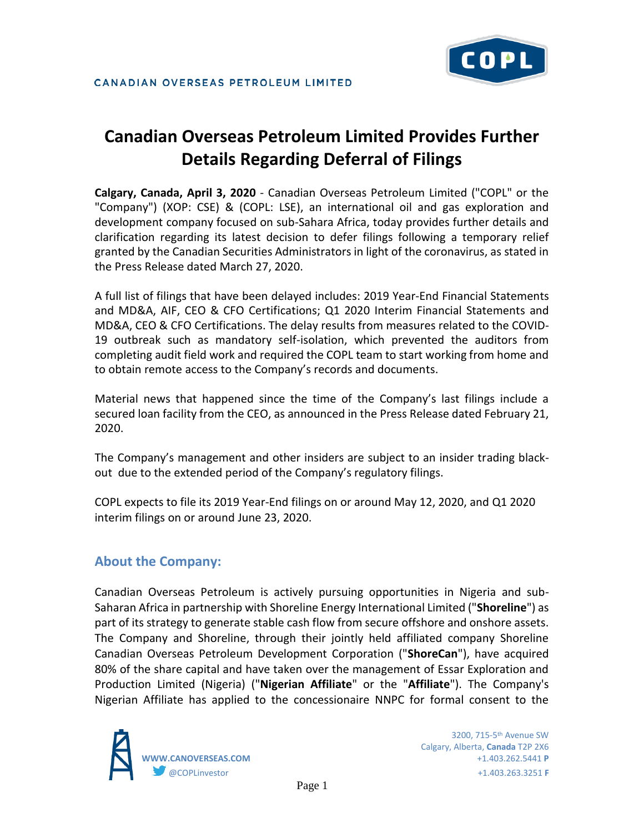

# **Canadian Overseas Petroleum Limited Provides Further Details Regarding Deferral of Filings**

**Calgary, Canada, April 3, 2020** - Canadian Overseas Petroleum Limited ("COPL" or the "Company") (XOP: CSE) & (COPL: LSE), an international oil and gas exploration and development company focused on sub-Sahara Africa, today provides further details and clarification regarding its latest decision to defer filings following a temporary relief granted by the Canadian Securities Administrators in light of the coronavirus, as stated in the Press Release dated March 27, 2020.

A full list of filings that have been delayed includes: 2019 Year-End Financial Statements and MD&A, AIF, CEO & CFO Certifications; Q1 2020 Interim Financial Statements and MD&A, CEO & CFO Certifications. The delay results from measures related to the COVID-19 outbreak such as mandatory self-isolation, which prevented the auditors from completing audit field work and required the COPL team to start working from home and to obtain remote access to the Company's records and documents.

Material news that happened since the time of the Company's last filings include a secured loan facility from the CEO, as announced in the Press Release dated February 21, 2020.

The Company's management and other insiders are subject to an insider trading blackout due to the extended period of the Company's regulatory filings.

COPL expects to file its 2019 Year-End filings on or around May 12, 2020, and Q1 2020 interim filings on or around June 23, 2020.

## **About the Company:**

Canadian Overseas Petroleum is actively pursuing opportunities in Nigeria and sub-Saharan Africa in partnership with Shoreline Energy International Limited ("**Shoreline**") as part of its strategy to generate stable cash flow from secure offshore and onshore assets. The Company and Shoreline, through their jointly held affiliated company Shoreline Canadian Overseas Petroleum Development Corporation ("**ShoreCan**"), have acquired 80% of the share capital and have taken over the management of Essar Exploration and Production Limited (Nigeria) ("**Nigerian Affiliate**" or the "**Affiliate**"). The Company's Nigerian Affiliate has applied to the concessionaire NNPC for formal consent to the

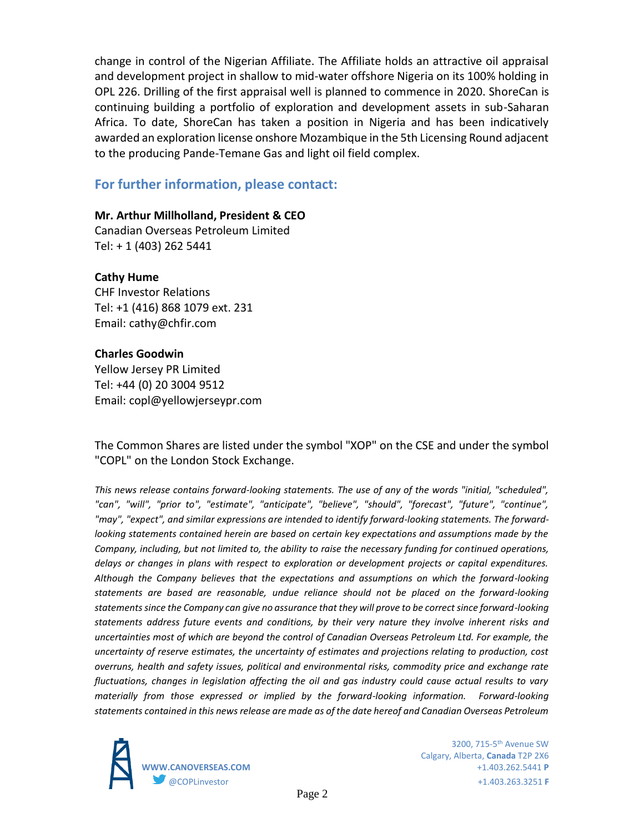change in control of the Nigerian Affiliate. The Affiliate holds an attractive oil appraisal and development project in shallow to mid-water offshore Nigeria on its 100% holding in OPL 226. Drilling of the first appraisal well is planned to commence in 2020. ShoreCan is continuing building a portfolio of exploration and development assets in sub-Saharan Africa. To date, ShoreCan has taken a position in Nigeria and has been indicatively awarded an exploration license onshore Mozambique in the 5th Licensing Round adjacent to the producing Pande-Temane Gas and light oil field complex.

### **For further information, please contact:**

#### **Mr. Arthur Millholland, President & CEO**

Canadian Overseas Petroleum Limited Tel: + 1 (403) 262 5441

#### **Cathy Hume**

CHF Investor Relations Tel: +1 (416) 868 1079 ext. 231 Email: cathy@chfir.com

#### **Charles Goodwin**

Yellow Jersey PR Limited Tel: +44 (0) 20 3004 9512 Email: copl@yellowjerseypr.com

The Common Shares are listed under the symbol "XOP" on the CSE and under the symbol "COPL" on the London Stock Exchange.

*This news release contains forward-looking statements. The use of any of the words "initial, "scheduled", "can", "will", "prior to", "estimate", "anticipate", "believe", "should", "forecast", "future", "continue", "may", "expect", and similar expressions are intended to identify forward-looking statements. The forwardlooking statements contained herein are based on certain key expectations and assumptions made by the Company, including, but not limited to, the ability to raise the necessary funding for continued operations, delays or changes in plans with respect to exploration or development projects or capital expenditures. Although the Company believes that the expectations and assumptions on which the forward-looking statements are based are reasonable, undue reliance should not be placed on the forward-looking statements since the Company can give no assurance that they will prove to be correct since forward-looking statements address future events and conditions, by their very nature they involve inherent risks and uncertainties most of which are beyond the control of Canadian Overseas Petroleum Ltd. For example, the uncertainty of reserve estimates, the uncertainty of estimates and projections relating to production, cost overruns, health and safety issues, political and environmental risks, commodity price and exchange rate fluctuations, changes in legislation affecting the oil and gas industry could cause actual results to vary materially from those expressed or implied by the forward-looking information. Forward-looking statements contained in this news release are made as of the date hereof and Canadian Overseas Petroleum* 



Calgary, Alberta, **Canada** T2P 2X6 **WWW.CANOVERSEAS.COM** +1.403.262.5441 **P** @COPLinvestor +1.403.263.3251 **F**